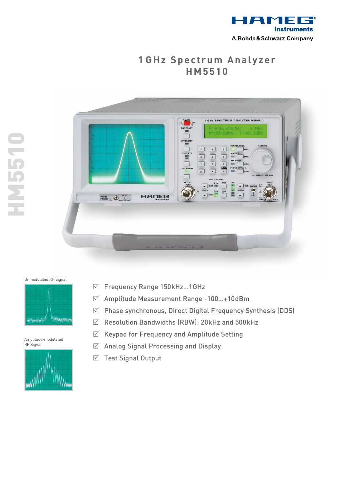

## **1 GHz Spectrum Analyzer H M 5 5 1 0**





## Unmodulated RF Signal

Amplitude-modulated RF Signal



- R Frequency Range 150kHz…1GHz
- R Amplitude Measurement Range -100…+10dBm
- $\boxtimes$  Phase synchronous, Direct Digital Frequency Synthesis (DDS)
- $\boxtimes$  Resolution Bandwidths (RBW): 20kHz and 500kHz
- $\boxtimes$  Keypad for Frequency and Amplitude Setting
- $\boxtimes$  Analog Signal Processing and Display
- $\boxtimes$  Test Signal Output